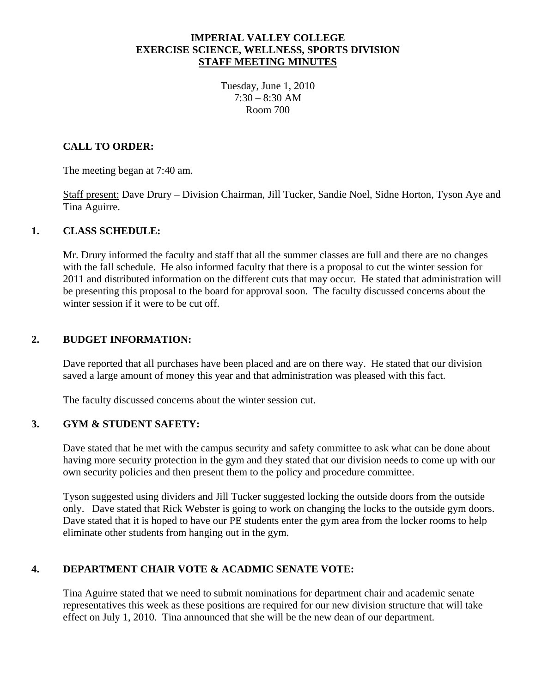### **IMPERIAL VALLEY COLLEGE EXERCISE SCIENCE, WELLNESS, SPORTS DIVISION STAFF MEETING MINUTES**

Tuesday, June 1, 2010  $7:30 - 8:30$  AM Room 700

### **CALL TO ORDER:**

The meeting began at 7:40 am.

 Staff present: Dave Drury – Division Chairman, Jill Tucker, Sandie Noel, Sidne Horton, Tyson Aye and Tina Aguirre.

#### **1. CLASS SCHEDULE:**

Mr. Drury informed the faculty and staff that all the summer classes are full and there are no changes with the fall schedule. He also informed faculty that there is a proposal to cut the winter session for 2011 and distributed information on the different cuts that may occur. He stated that administration will be presenting this proposal to the board for approval soon. The faculty discussed concerns about the winter session if it were to be cut off.

#### **2. BUDGET INFORMATION:**

Dave reported that all purchases have been placed and are on there way. He stated that our division saved a large amount of money this year and that administration was pleased with this fact.

The faculty discussed concerns about the winter session cut.

#### **3. GYM & STUDENT SAFETY:**

Dave stated that he met with the campus security and safety committee to ask what can be done about having more security protection in the gym and they stated that our division needs to come up with our own security policies and then present them to the policy and procedure committee.

 Tyson suggested using dividers and Jill Tucker suggested locking the outside doors from the outside only. Dave stated that Rick Webster is going to work on changing the locks to the outside gym doors. Dave stated that it is hoped to have our PE students enter the gym area from the locker rooms to help eliminate other students from hanging out in the gym.

## **4. DEPARTMENT CHAIR VOTE & ACADMIC SENATE VOTE:**

Tina Aguirre stated that we need to submit nominations for department chair and academic senate representatives this week as these positions are required for our new division structure that will take effect on July 1, 2010. Tina announced that she will be the new dean of our department.